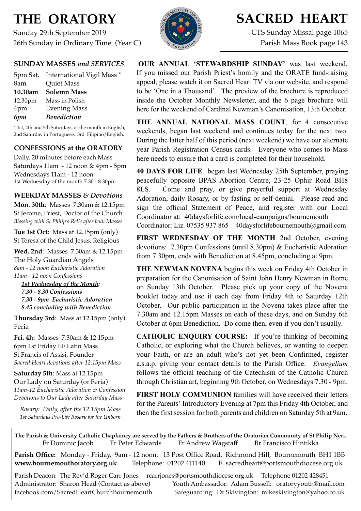# **THE ORATORY**

Sunday 29th September 2019 26th Sunday in Ordinary Time (Year C)



# **SACRED HEART**

CTS Sunday Missal page 1065 Parish Mass Book page 143

## **SUNDAY MASSES** *and SERVICES*

|         | 5pm Sat. International Vigil Mass * |
|---------|-------------------------------------|
| 8am     | Quiet Mass                          |
| 10.30am | <b>Solemn Mass</b>                  |
| 12.30pm | Mass in Polish                      |
| 4pm     | <b>Evening Mass</b>                 |
| 6pm     | <b>Benediction</b>                  |

\* 1st, 4th and 5th Saturdays of the month in English, 2nd Saturday in Portuguese, 3rd Filipino/English,

# **CONFESSIONS at the ORATORY**

Daily, 20 minutes before each Mass Saturdays 11am - 12 noon & 4pm - 5pm Wednesdays 11am - 12 noon 1st Wednesday of the month 7.30 - 8.30pm

### **WEEKDAY MASSES** *& Devotions*

**Mon. 30th**: Masses 7.30am & 12.15pm St Jerome, Priest, Doctor of the Church *Blessing with St Philip's Relic after both Masses*

**Tue 1st Oct**: Mass at 12.15pm (only) St Teresa of the Child Jesus, Religious

**Wed. 2nd**: Masses7.30am & 12.15pm The Holy Guardian Angels *8am - 12 noon Eucharistic Adoration 11am - 12 noon Confessions*

 *1st Wednesday of the Month: 7.30 - 8.30 Confessions 7.30 - 9pm Eucharistic Adoration 8.45 concluding with Benediction*

**Thursday 3rd**: Mass at 12.15pm (only) Feria

**Fri. 4h:** Masses 7.30am & 12.15pm 6pm 1st Friday EF Latin Mass St Francis of Assisi, Founder *Sacred Heart devotions after 12.15pm Mass*

**Saturday 5th**: Mass at 12.15pm Our Lady on Saturday (or Feria) *11am-12 Eucharistic Adoration & Confession Devotions to Our Lady after Saturday Mass*

*Rosary: Daily, after the 12.15pm Mass 1st Saturdays Pro-Life Rosary for the Unborn* 

**OUR ANNUAL 'STEWARDSHIP SUNDAY'** was last weekend. If you missed our Parish Priest's homily and the ORATE fund-raising appeal, please watch it on Sacred Heart TV via our website, and respond to be 'One in a Thousand'. The preview of the brochure is reproduced inside the October Monthly Newsletter, and the 6 page brochure will here for the weekend of Cardinal Newman's Canonisation, 13th October.

**THE ANNUAL NATIONAL MASS COUNT**, for 4 consecutive weekends, began last weekend and continues today for the next two. During the latter half of this period (next weekend) we have our alternate year Parish Registration Census cards. Everyone who comes to Mass here needs to ensure that a card is completed for their household.

**40 DAYS FOR LIFE** began last Wednesday 25th September, praying peacefully opposite BPAS Abortion Centre, 23-25 Ophir Road BH8 8LS. Come and pray, or give prayerful support at Wednesday Adoration, daily Rosary, or by fasting or self-denial. Please read and sign the official Statement of Peace, and register with our Local Coordinator at: 40daysforlife.com/local-campaigns/bournemouth

Coordinator: Liz. 07535 937 865 [40daysforlifebournemouth@gmail.com](mailto:40daysforlifebournemouth@gmail.com)

**FIRST WEDNESDAY OF THE MONTH** 2nd October, evening devotions: 7.30pm Confessions (until 8.30pm) & Eucharistic Adoration from 7.30pm, ends with Benediction at 8.45pm, concluding at 9pm.

**THE NEWMAN NOVENA** begins this week on Friday 4th October in preparation for the Canonisation of Saint John Henry Newman in Rome on Sunday 13th October. Please pick up your copy of the Novena booklet today and use it each day from Friday 4th to Saturday 12th October. Our public participation in the Novena takes place after the 7.30am and 12.15pm Masses on each of these days, and on Sunday 6th October at 6pm Benediction. Do come then, even if you don't usually.

**CATHOLIC ENQUIRY COURSE:** If you're thinking of becoming Catholic, or exploring what the Church believes, or wanting to deepen your Faith, or are an adult who's not yet been Confirmed, register a.s.a.p. giving your contact details to the Parish Office. *Evangelium*  follows the official teaching of the Catechism of the Catholic Church through Christian art, beginning 9th October, on Wednesdays 7.30 - 9pm.

**FIRST HOLY COMMUNION** families will have received their letters for the Parents' Introductory Evening at 7pm this Friday 4th October, and then the first session for both parents and children on Saturday 5th at 9am.

**The Parish & University Catholic Chaplaincy are served by the Fathers & Brothers of the Oratorian Community of St Philip Neri.** Fr Dominic Jacob Fr Peter Edwards Fr Andrew Wagstaff Br Francisco Hintikka

**Parish Office:** Monday - Friday, 9am - 12 noon. 13 Post Office Road, Richmond Hill, Bournemouth BH1 1BB **[www.bournemouthoratory.org.uk](http://www.bournemoithoratory.org.uk)** Telephone: 01202 411140 E. [sacredheart@portsmouthdiocese.org.uk](mailto:sacredheart@portsmouthdiocese.org.uk)

Parish Deacon: The Rev'd Roger Carr-Jones [rcarrjones@portsmouthdiocese.org.uk](mailto:rcarrjones@portsmouthdiocese.org.uk) Telephone 01202 428451 Administrator: Sharon Head (Contact as above) Youth Ambassador: Adam Bussell: [oratoryyouth@mail.com](http://oratoryyouth.mail.com) [facebook.com/SacredHeartChurchBournemouth](http://facebook.com/SaccredHeartChurchBournemouth) Safeguarding: Dr Skivington: mikeskivington@yahoo.co.uk